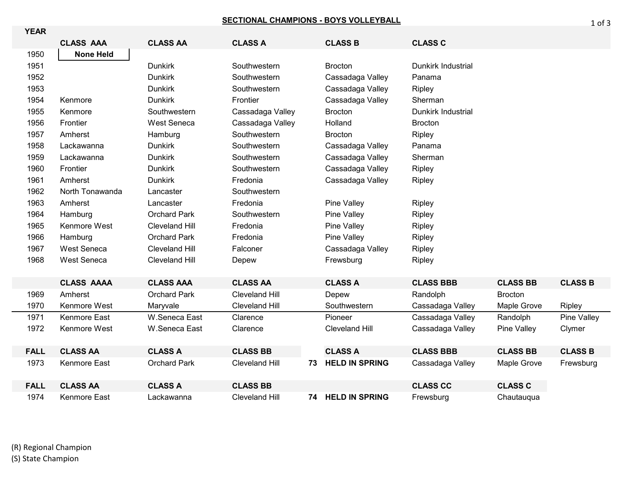## **SECTIONAL CHAMPIONS - BOYS VOLLEYBALL**

| <b>YEAR</b> |                     |                       |                       |    |                       |                           |                 |                |
|-------------|---------------------|-----------------------|-----------------------|----|-----------------------|---------------------------|-----------------|----------------|
|             | <b>CLASS AAA</b>    | <b>CLASS AA</b>       | <b>CLASS A</b>        |    | <b>CLASS B</b>        | <b>CLASS C</b>            |                 |                |
| 1950        | <b>None Held</b>    |                       |                       |    |                       |                           |                 |                |
| 1951        |                     | <b>Dunkirk</b>        | Southwestern          |    | <b>Brocton</b>        | <b>Dunkirk Industrial</b> |                 |                |
| 1952        |                     | <b>Dunkirk</b>        | Southwestern          |    | Cassadaga Valley      | Panama                    |                 |                |
| 1953        |                     | <b>Dunkirk</b>        | Southwestern          |    | Cassadaga Valley      | Ripley                    |                 |                |
| 1954        | Kenmore             | <b>Dunkirk</b>        | Frontier              |    | Cassadaga Valley      | Sherman                   |                 |                |
| 1955        | Kenmore             | Southwestern          | Cassadaga Valley      |    | <b>Brocton</b>        | Dunkirk Industrial        |                 |                |
| 1956        | Frontier            | <b>West Seneca</b>    | Cassadaga Valley      |    | Holland               | <b>Brocton</b>            |                 |                |
| 1957        | Amherst             | Hamburg               | Southwestern          |    | <b>Brocton</b>        | Ripley                    |                 |                |
| 1958        | Lackawanna          | <b>Dunkirk</b>        | Southwestern          |    | Cassadaga Valley      | Panama                    |                 |                |
| 1959        | Lackawanna          | <b>Dunkirk</b>        | Southwestern          |    | Cassadaga Valley      | Sherman                   |                 |                |
| 1960        | Frontier            | <b>Dunkirk</b>        | Southwestern          |    | Cassadaga Valley      | Ripley                    |                 |                |
| 1961        | Amherst             | <b>Dunkirk</b>        | Fredonia              |    | Cassadaga Valley      | Ripley                    |                 |                |
| 1962        | North Tonawanda     | Lancaster             | Southwestern          |    |                       |                           |                 |                |
| 1963        | Amherst             | Lancaster             | Fredonia              |    | <b>Pine Valley</b>    | Ripley                    |                 |                |
| 1964        | Hamburg             | <b>Orchard Park</b>   | Southwestern          |    | Pine Valley           | <b>Ripley</b>             |                 |                |
| 1965        | Kenmore West        | <b>Cleveland Hill</b> | Fredonia              |    | Pine Valley           | Ripley                    |                 |                |
| 1966        | Hamburg             | <b>Orchard Park</b>   | Fredonia              |    | Pine Valley           | Ripley                    |                 |                |
| 1967        | West Seneca         | <b>Cleveland Hill</b> | Falconer              |    | Cassadaga Valley      | Ripley                    |                 |                |
| 1968        | West Seneca         | <b>Cleveland Hill</b> | Depew                 |    | Frewsburg             | Ripley                    |                 |                |
|             |                     |                       |                       |    |                       |                           |                 |                |
|             | <b>CLASS AAAA</b>   | <b>CLASS AAA</b>      | <b>CLASS AA</b>       |    | <b>CLASS A</b>        | <b>CLASS BBB</b>          | <b>CLASS BB</b> | <b>CLASS B</b> |
| 1969        | Amherst             | <b>Orchard Park</b>   | <b>Cleveland Hill</b> |    | Depew                 | Randolph                  | <b>Brocton</b>  |                |
| 1970        | Kenmore West        | Maryvale              | <b>Cleveland Hill</b> |    | Southwestern          | Cassadaga Valley          | Maple Grove     | Ripley         |
| 1971        | Kenmore East        | W.Seneca East         | Clarence              |    | Pioneer               | Cassadaga Valley          | Randolph        | Pine Valley    |
| 1972        | Kenmore West        | W.Seneca East         | Clarence              |    | <b>Cleveland Hill</b> | Cassadaga Valley          | Pine Valley     | Clymer         |
|             |                     |                       |                       |    |                       |                           |                 |                |
| <b>FALL</b> | <b>CLASS AA</b>     | <b>CLASS A</b>        | <b>CLASS BB</b>       |    | <b>CLASS A</b>        | <b>CLASS BBB</b>          | <b>CLASS BB</b> | <b>CLASS B</b> |
| 1973        | Kenmore East        | <b>Orchard Park</b>   | <b>Cleveland Hill</b> | 73 | <b>HELD IN SPRING</b> | Cassadaga Valley          | Maple Grove     | Frewsburg      |
|             |                     |                       |                       |    |                       |                           |                 |                |
| <b>FALL</b> | <b>CLASS AA</b>     | <b>CLASS A</b>        | <b>CLASS BB</b>       |    |                       | <b>CLASS CC</b>           | <b>CLASS C</b>  |                |
| 1974        | <b>Kenmore East</b> | Lackawanna            | <b>Cleveland Hill</b> |    | 74 HELD IN SPRING     | Frewsburg                 | Chautauqua      |                |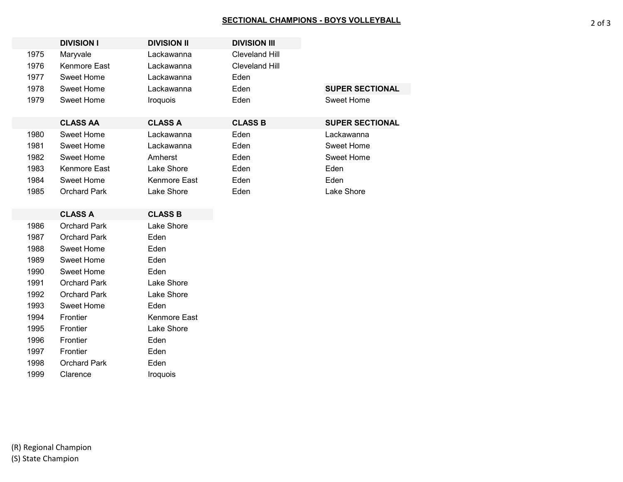## SECTIONAL CHAMPIONS - BOYS VOLLEYBALL **And Contain the Contact Contains a Section A** 2 of 3

|      | <b>DIVISION I</b>   | <b>DIVISION II</b> | <b>DIVISION III</b>   |
|------|---------------------|--------------------|-----------------------|
| 1975 | Maryvale            | Lackawanna         | <b>Cleveland Hill</b> |
| 1976 | Kenmore East        | Lackawanna         | <b>Cleveland Hill</b> |
| 1977 | Sweet Home          | Lackawanna         | Eden                  |
| 1978 | <b>Sweet Home</b>   | Lackawanna         | Eden                  |
| 1979 | Sweet Home          | Iroquois           | Eden                  |
|      |                     |                    |                       |
|      | <b>CLASS AA</b>     | <b>CLASS A</b>     | <b>CLASS B</b>        |
| 1980 | <b>Sweet Home</b>   | Lackawanna         | Eden                  |
| 1981 | Sweet Home          | Lackawanna         | Eden                  |
| 1982 | Sweet Home          | Amherst            | Eden                  |
| 1983 | Kenmore East        | Lake Shore         | Eden                  |
| 1984 | Sweet Home          | Kenmore East       | Eden                  |
| 1985 | <b>Orchard Park</b> | Lake Shore         | Eden                  |
|      |                     |                    |                       |
|      | <b>CLASS A</b>      | <b>CLASS B</b>     |                       |
| 1986 | <b>Orchard Park</b> | Lake Shore         |                       |
| 1987 | <b>Orchard Park</b> | Eden               |                       |
| 1988 | Sweet Home          | Eden               |                       |
| 1989 | <b>Sweet Home</b>   | Eden               |                       |
| 1990 | Sweet Home          | Eden               |                       |
| 1991 | <b>Orchard Park</b> | Lake Shore         |                       |
| 1992 | <b>Orchard Park</b> | Lake Shore         |                       |
| 1993 | Sweet Home          | Eden               |                       |
| 1994 | Frontier            | Kenmore East       |                       |
| 1995 | Frontier            | Lake Shore         |                       |
| 1996 | Frontier            | Eden               |                       |
| 1997 | Frontier            | Eden               |                       |
| 1998 | <b>Orchard Park</b> | Eden               |                       |

1999 Clarence **Iroquois**